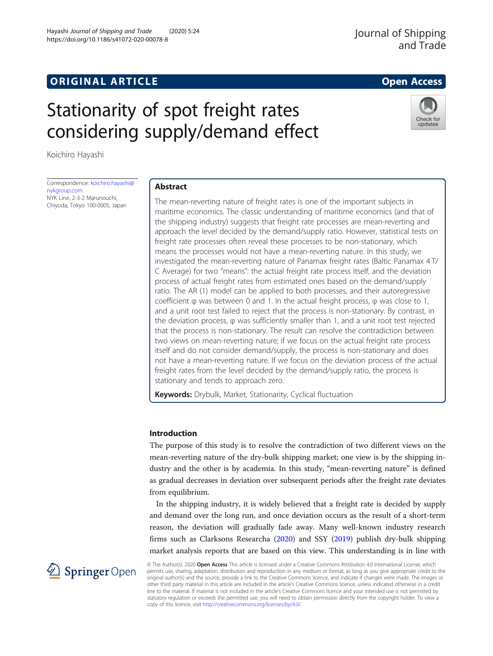# **ORIGINAL ARTICLE CONSERVANCE IN A LOCAL CONSERVANCE IN A LOCAL CONSERVANCE IN A LOCAL CONSERVANCE IN A LOCAL CONSERVANCE IN A LOCAL CONSERVANCE IN A LOCAL CONSERVANCE IN A LOCAL CONSERVANCE IN A LOCAL CONSERVANCE IN A L**

## Hayashi Journal of Shipping and Trade (2020) 5:24 https://doi.org/10.1186/s41072-020-00078-8

Stationarity of spot freight rates considering supply/demand effect

Koichiro Hayashi

Correspondence: [koichiro.hayashi@](mailto:koichiro.hayashi@nykgroup.com) [nykgroup.com](mailto:koichiro.hayashi@nykgroup.com) NYK Line, 2-3-2 Marunouchi, Chiyoda, Tokyo 100-0005, Japan

## Abstract

The mean-reverting nature of freight rates is one of the important subjects in maritime economics. The classic understanding of maritime economics (and that of the shipping industry) suggests that freight rate processes are mean-reverting and approach the level decided by the demand/supply ratio. However, statistical tests on freight rate processes often reveal these processes to be non-stationary, which means the processes would not have a mean-reverting nature. In this study, we investigated the mean-reverting nature of Panamax freight rates (Baltic Panamax 4 T/ C Average) for two "means": the actual freight rate process itself, and the deviation process of actual freight rates from estimated ones based on the demand/supply ratio. The AR (1) model can be applied to both processes, and their autoregressive coefficient φ was between 0 and 1. In the actual freight process, φ was close to 1, and a unit root test failed to reject that the process is non-stationary. By contrast, in the deviation process, φ was sufficiently smaller than 1, and a unit root test rejected that the process is non-stationary. The result can resolve the contradiction between two views on mean-reverting nature; if we focus on the actual freight rate process itself and do not consider demand/supply, the process is non-stationary and does not have a mean-reverting nature. If we focus on the deviation process of the actual freight rates from the level decided by the demand/supply ratio, the process is stationary and tends to approach zero.

**Keywords:** Drybulk, Market, Stationarity, Cyclical fluctuation

## Introduction

The purpose of this study is to resolve the contradiction of two different views on the mean-reverting nature of the dry-bulk shipping market; one view is by the shipping industry and the other is by academia. In this study, "mean-reverting nature" is defined as gradual decreases in deviation over subsequent periods after the freight rate deviates from equilibrium.

In the shipping industry, it is widely believed that a freight rate is decided by supply and demand over the long run, and once deviation occurs as the result of a short-term reason, the deviation will gradually fade away. Many well-known industry research firms such as Clarksons Researcha [\(2020\)](#page-8-0) and SSY ([2019](#page-8-0)) publish dry-bulk shipping market analysis reports that are based on this view. This understanding is in line with

© The Author(s). 2020 Open Access This article is licensed under a Creative Commons Attribution 4.0 International License, which permits use, sharing, adaptation, distribution and reproduction in any medium or format, as long as you give appropriate credit to the original author(s) and the source, provide a link to the Creative Commons licence, and indicate if changes were made. The images or other third party material in this article are included in the article's Creative Commons licence, unless indicated otherwise in a credit line to the material. If material is not included in the article's Creative Commons licence and your intended use is not permitted by statutory regulation or exceeds the permitted use, you will need to obtain permission directly from the copyright holder. To view a copy of this licence, visit <http://creativecommons.org/licenses/by/4.0/>.



Journal of Shipping

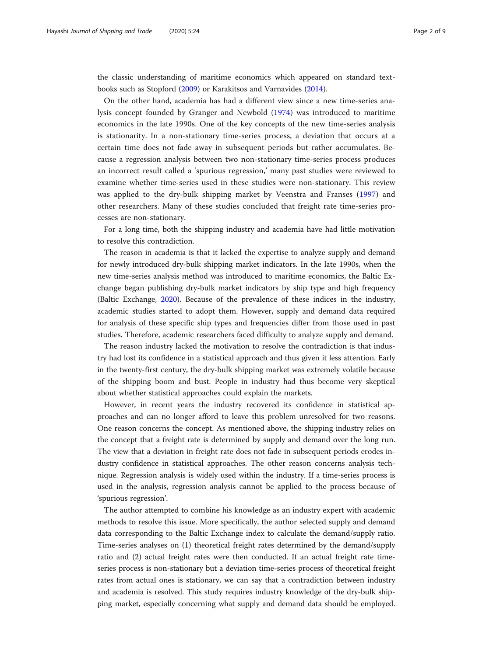the classic understanding of maritime economics which appeared on standard textbooks such as Stopford ([2009\)](#page-8-0) or Karakitsos and Varnavides ([2014\)](#page-8-0).

On the other hand, academia has had a different view since a new time-series analysis concept founded by Granger and Newbold ([1974\)](#page-8-0) was introduced to maritime economics in the late 1990s. One of the key concepts of the new time-series analysis is stationarity. In a non-stationary time-series process, a deviation that occurs at a certain time does not fade away in subsequent periods but rather accumulates. Because a regression analysis between two non-stationary time-series process produces an incorrect result called a 'spurious regression,' many past studies were reviewed to examine whether time-series used in these studies were non-stationary. This review was applied to the dry-bulk shipping market by Veenstra and Franses [\(1997](#page-8-0)) and other researchers. Many of these studies concluded that freight rate time-series processes are non-stationary.

For a long time, both the shipping industry and academia have had little motivation to resolve this contradiction.

The reason in academia is that it lacked the expertise to analyze supply and demand for newly introduced dry-bulk shipping market indicators. In the late 1990s, when the new time-series analysis method was introduced to maritime economics, the Baltic Exchange began publishing dry-bulk market indicators by ship type and high frequency (Baltic Exchange, [2020](#page-8-0)). Because of the prevalence of these indices in the industry, academic studies started to adopt them. However, supply and demand data required for analysis of these specific ship types and frequencies differ from those used in past studies. Therefore, academic researchers faced difficulty to analyze supply and demand.

The reason industry lacked the motivation to resolve the contradiction is that industry had lost its confidence in a statistical approach and thus given it less attention. Early in the twenty-first century, the dry-bulk shipping market was extremely volatile because of the shipping boom and bust. People in industry had thus become very skeptical about whether statistical approaches could explain the markets.

However, in recent years the industry recovered its confidence in statistical approaches and can no longer afford to leave this problem unresolved for two reasons. One reason concerns the concept. As mentioned above, the shipping industry relies on the concept that a freight rate is determined by supply and demand over the long run. The view that a deviation in freight rate does not fade in subsequent periods erodes industry confidence in statistical approaches. The other reason concerns analysis technique. Regression analysis is widely used within the industry. If a time-series process is used in the analysis, regression analysis cannot be applied to the process because of 'spurious regression'.

The author attempted to combine his knowledge as an industry expert with academic methods to resolve this issue. More specifically, the author selected supply and demand data corresponding to the Baltic Exchange index to calculate the demand/supply ratio. Time-series analyses on (1) theoretical freight rates determined by the demand/supply ratio and (2) actual freight rates were then conducted. If an actual freight rate timeseries process is non-stationary but a deviation time-series process of theoretical freight rates from actual ones is stationary, we can say that a contradiction between industry and academia is resolved. This study requires industry knowledge of the dry-bulk shipping market, especially concerning what supply and demand data should be employed.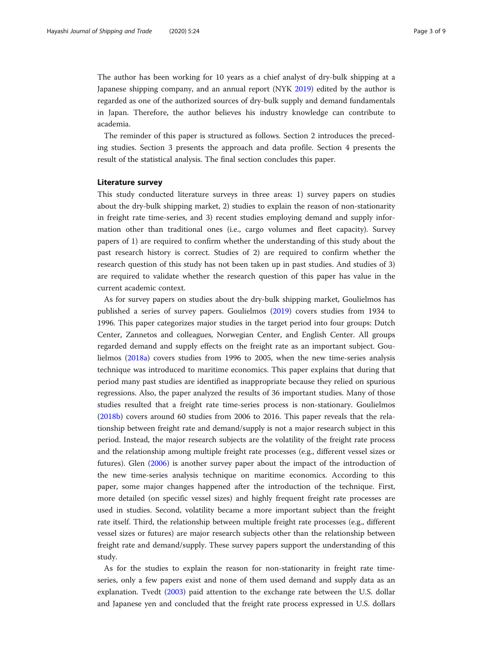The author has been working for 10 years as a chief analyst of dry-bulk shipping at a Japanese shipping company, and an annual report (NYK [2019\)](#page-8-0) edited by the author is regarded as one of the authorized sources of dry-bulk supply and demand fundamentals in Japan. Therefore, the author believes his industry knowledge can contribute to academia.

The reminder of this paper is structured as follows. Section 2 introduces the preceding studies. Section 3 presents the approach and data profile. Section 4 presents the result of the statistical analysis. The final section concludes this paper.

### Literature survey

This study conducted literature surveys in three areas: 1) survey papers on studies about the dry-bulk shipping market, 2) studies to explain the reason of non-stationarity in freight rate time-series, and 3) recent studies employing demand and supply information other than traditional ones (i.e., cargo volumes and fleet capacity). Survey papers of 1) are required to confirm whether the understanding of this study about the past research history is correct. Studies of 2) are required to confirm whether the research question of this study has not been taken up in past studies. And studies of 3) are required to validate whether the research question of this paper has value in the current academic context.

As for survey papers on studies about the dry-bulk shipping market, Goulielmos has published a series of survey papers. Goulielmos ([2019](#page-8-0)) covers studies from 1934 to 1996. This paper categorizes major studies in the target period into four groups: Dutch Center, Zannetos and colleagues, Norwegian Center, and English Center. All groups regarded demand and supply effects on the freight rate as an important subject. Goulielmos [\(2018a](#page-8-0)) covers studies from 1996 to 2005, when the new time-series analysis technique was introduced to maritime economics. This paper explains that during that period many past studies are identified as inappropriate because they relied on spurious regressions. Also, the paper analyzed the results of 36 important studies. Many of those studies resulted that a freight rate time-series process is non-stationary. Goulielmos ([2018b\)](#page-8-0) covers around 60 studies from 2006 to 2016. This paper reveals that the relationship between freight rate and demand/supply is not a major research subject in this period. Instead, the major research subjects are the volatility of the freight rate process and the relationship among multiple freight rate processes (e.g., different vessel sizes or futures). Glen ([2006\)](#page-8-0) is another survey paper about the impact of the introduction of the new time-series analysis technique on maritime economics. According to this paper, some major changes happened after the introduction of the technique. First, more detailed (on specific vessel sizes) and highly frequent freight rate processes are used in studies. Second, volatility became a more important subject than the freight rate itself. Third, the relationship between multiple freight rate processes (e.g., different vessel sizes or futures) are major research subjects other than the relationship between freight rate and demand/supply. These survey papers support the understanding of this study.

As for the studies to explain the reason for non-stationarity in freight rate timeseries, only a few papers exist and none of them used demand and supply data as an explanation. Tvedt ([2003](#page-8-0)) paid attention to the exchange rate between the U.S. dollar and Japanese yen and concluded that the freight rate process expressed in U.S. dollars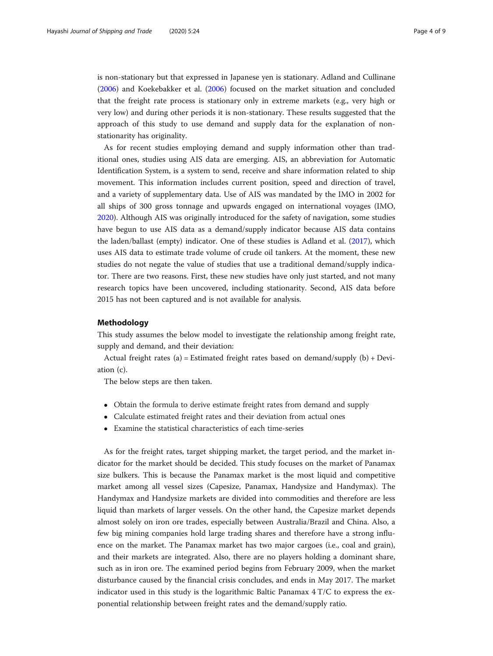is non-stationary but that expressed in Japanese yen is stationary. Adland and Cullinane ([2006](#page-8-0)) and Koekebakker et al. [\(2006\)](#page-8-0) focused on the market situation and concluded that the freight rate process is stationary only in extreme markets (e.g., very high or very low) and during other periods it is non-stationary. These results suggested that the approach of this study to use demand and supply data for the explanation of nonstationarity has originality.

As for recent studies employing demand and supply information other than traditional ones, studies using AIS data are emerging. AIS, an abbreviation for Automatic Identification System, is a system to send, receive and share information related to ship movement. This information includes current position, speed and direction of travel, and a variety of supplementary data. Use of AIS was mandated by the IMO in 2002 for all ships of 300 gross tonnage and upwards engaged on international voyages (IMO, [2020](#page-8-0)). Although AIS was originally introduced for the safety of navigation, some studies have begun to use AIS data as a demand/supply indicator because AIS data contains the laden/ballast (empty) indicator. One of these studies is Adland et al. ([2017](#page-8-0)), which uses AIS data to estimate trade volume of crude oil tankers. At the moment, these new studies do not negate the value of studies that use a traditional demand/supply indicator. There are two reasons. First, these new studies have only just started, and not many research topics have been uncovered, including stationarity. Second, AIS data before 2015 has not been captured and is not available for analysis.

## Methodology

This study assumes the below model to investigate the relationship among freight rate, supply and demand, and their deviation:

Actual freight rates (a) = Estimated freight rates based on demand/supply (b) + Deviation (c).

The below steps are then taken.

- Obtain the formula to derive estimate freight rates from demand and supply
- Calculate estimated freight rates and their deviation from actual ones
- Examine the statistical characteristics of each time-series

As for the freight rates, target shipping market, the target period, and the market indicator for the market should be decided. This study focuses on the market of Panamax size bulkers. This is because the Panamax market is the most liquid and competitive market among all vessel sizes (Capesize, Panamax, Handysize and Handymax). The Handymax and Handysize markets are divided into commodities and therefore are less liquid than markets of larger vessels. On the other hand, the Capesize market depends almost solely on iron ore trades, especially between Australia/Brazil and China. Also, a few big mining companies hold large trading shares and therefore have a strong influence on the market. The Panamax market has two major cargoes (i.e., coal and grain), and their markets are integrated. Also, there are no players holding a dominant share, such as in iron ore. The examined period begins from February 2009, when the market disturbance caused by the financial crisis concludes, and ends in May 2017. The market indicator used in this study is the logarithmic Baltic Panamax  $4 T/C$  to express the exponential relationship between freight rates and the demand/supply ratio.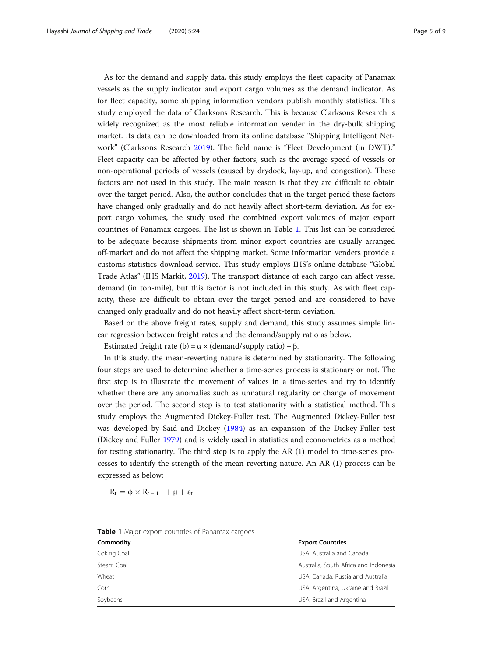As for the demand and supply data, this study employs the fleet capacity of Panamax vessels as the supply indicator and export cargo volumes as the demand indicator. As for fleet capacity, some shipping information vendors publish monthly statistics. This study employed the data of Clarksons Research. This is because Clarksons Research is widely recognized as the most reliable information vender in the dry-bulk shipping market. Its data can be downloaded from its online database "Shipping Intelligent Network" (Clarksons Research [2019](#page-8-0)). The field name is "Fleet Development (in DWT)." Fleet capacity can be affected by other factors, such as the average speed of vessels or non-operational periods of vessels (caused by drydock, lay-up, and congestion). These factors are not used in this study. The main reason is that they are difficult to obtain over the target period. Also, the author concludes that in the target period these factors have changed only gradually and do not heavily affect short-term deviation. As for export cargo volumes, the study used the combined export volumes of major export countries of Panamax cargoes. The list is shown in Table 1. This list can be considered to be adequate because shipments from minor export countries are usually arranged off-market and do not affect the shipping market. Some information venders provide a customs-statistics download service. This study employs IHS's online database "Global Trade Atlas" (IHS Markit, [2019\)](#page-8-0). The transport distance of each cargo can affect vessel demand (in ton-mile), but this factor is not included in this study. As with fleet capacity, these are difficult to obtain over the target period and are considered to have changed only gradually and do not heavily affect short-term deviation.

Based on the above freight rates, supply and demand, this study assumes simple linear regression between freight rates and the demand/supply ratio as below.

Estimated freight rate (b) =  $\alpha \times$  (demand/supply ratio) +  $\beta$ .

In this study, the mean-reverting nature is determined by stationarity. The following four steps are used to determine whether a time-series process is stationary or not. The first step is to illustrate the movement of values in a time-series and try to identify whether there are any anomalies such as unnatural regularity or change of movement over the period. The second step is to test stationarity with a statistical method. This study employs the Augmented Dickey-Fuller test. The Augmented Dickey-Fuller test was developed by Said and Dickey ([1984](#page-8-0)) as an expansion of the Dickey-Fuller test (Dickey and Fuller [1979\)](#page-8-0) and is widely used in statistics and econometrics as a method for testing stationarity. The third step is to apply the AR (1) model to time-series processes to identify the strength of the mean-reverting nature. An AR (1) process can be expressed as below:

 $R_t = \phi \times R_{t-1} + \mu + \varepsilon_t$ 

| Commodity   | <b>Export Countries</b><br>USA, Australia and Canada |  |  |
|-------------|------------------------------------------------------|--|--|
| Coking Coal |                                                      |  |  |
| Steam Coal  | Australia, South Africa and Indonesia                |  |  |
| Wheat       | USA, Canada, Russia and Australia                    |  |  |
| Corn        | USA, Argentina, Ukraine and Brazil                   |  |  |
| Soybeans    | USA, Brazil and Argentina                            |  |  |

|  |  |  |  | <b>Table 1</b> Major export countries of Panamax cargoes |  |  |  |
|--|--|--|--|----------------------------------------------------------|--|--|--|
|--|--|--|--|----------------------------------------------------------|--|--|--|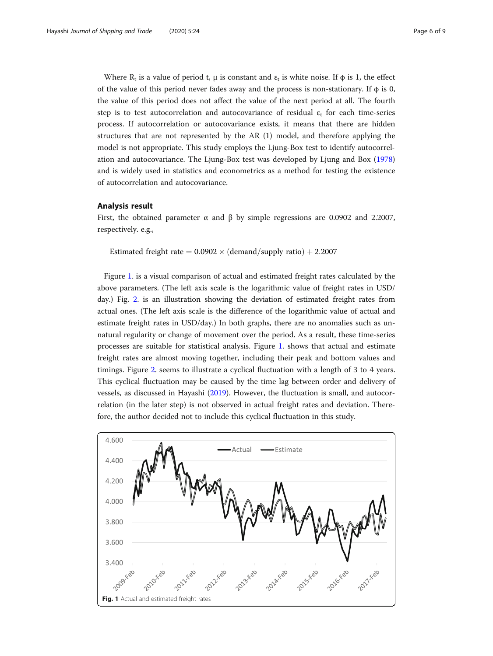Where R<sub>t</sub> is a value of period t, μ is constant and  $\varepsilon_t$  is white noise. If  $\phi$  is 1, the effect of the value of this period never fades away and the process is non-stationary. If  $\phi$  is 0, the value of this period does not affect the value of the next period at all. The fourth step is to test autocorrelation and autocovariance of residual  $\varepsilon_t$  for each time-series process. If autocorrelation or autocovariance exists, it means that there are hidden structures that are not represented by the AR (1) model, and therefore applying the model is not appropriate. This study employs the Ljung-Box test to identify autocorrelation and autocovariance. The Ljung-Box test was developed by Ljung and Box ([1978](#page-8-0)) and is widely used in statistics and econometrics as a method for testing the existence of autocorrelation and autocovariance.

## Analysis result

First, the obtained parameter  $\alpha$  and  $\beta$  by simple regressions are 0.0902 and 2.2007, respectively. e.g.,

Estimated freight rate =  $0.0902 \times$  (demand/supply ratio) + 2.2007

Figure 1. is a visual comparison of actual and estimated freight rates calculated by the above parameters. (The left axis scale is the logarithmic value of freight rates in USD/ day.) Fig. [2.](#page-6-0) is an illustration showing the deviation of estimated freight rates from actual ones. (The left axis scale is the difference of the logarithmic value of actual and estimate freight rates in USD/day.) In both graphs, there are no anomalies such as unnatural regularity or change of movement over the period. As a result, these time-series processes are suitable for statistical analysis. Figure 1. shows that actual and estimate freight rates are almost moving together, including their peak and bottom values and timings. Figure [2](#page-6-0). seems to illustrate a cyclical fluctuation with a length of 3 to 4 years. This cyclical fluctuation may be caused by the time lag between order and delivery of vessels, as discussed in Hayashi ([2019](#page-8-0)). However, the fluctuation is small, and autocorrelation (in the later step) is not observed in actual freight rates and deviation. Therefore, the author decided not to include this cyclical fluctuation in this study.

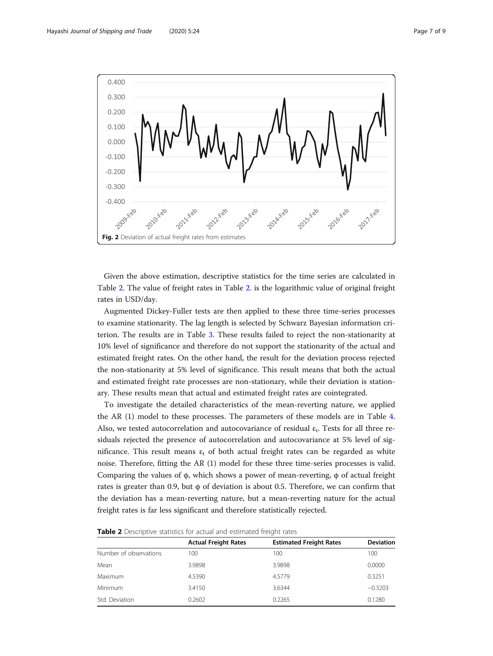<span id="page-6-0"></span>

Given the above estimation, descriptive statistics for the time series are calculated in Table 2. The value of freight rates in Table 2. is the logarithmic value of original freight rates in USD/day.

Augmented Dickey-Fuller tests are then applied to these three time-series processes to examine stationarity. The lag length is selected by Schwarz Bayesian information criterion. The results are in Table [3.](#page-7-0) These results failed to reject the non-stationarity at 10% level of significance and therefore do not support the stationarity of the actual and estimated freight rates. On the other hand, the result for the deviation process rejected the non-stationarity at 5% level of significance. This result means that both the actual and estimated freight rate processes are non-stationary, while their deviation is stationary. These results mean that actual and estimated freight rates are cointegrated.

To investigate the detailed characteristics of the mean-reverting nature, we applied the AR (1) model to these processes. The parameters of these models are in Table [4](#page-7-0). Also, we tested autocorrelation and autocovariance of residual  $\varepsilon_t$ . Tests for all three residuals rejected the presence of autocorrelation and autocovariance at 5% level of significance. This result means  $\varepsilon_t$  of both actual freight rates can be regarded as white noise. Therefore, fitting the AR (1) model for these three time-series processes is valid. Comparing the values of φ, which shows a power of mean-reverting, φ of actual freight rates is greater than 0.9, but  $\phi$  of deviation is about 0.5. Therefore, we can confirm that the deviation has a mean-reverting nature, but a mean-reverting nature for the actual freight rates is far less significant and therefore statistically rejected.

| <b>Table 2</b> Descriptive statistics for actual and estimated freight rates |  |  |  |
|------------------------------------------------------------------------------|--|--|--|
|------------------------------------------------------------------------------|--|--|--|

|                        | <b>Actual Freight Rates</b> | <b>Estimated Freight Rates</b> | <b>Deviation</b> |
|------------------------|-----------------------------|--------------------------------|------------------|
| Number of observations | 100                         | 100                            | 100              |
| Mean                   | 3.9898                      | 3.9898                         | 0.0000           |
| Maximum                | 4.5390                      | 4.5779                         | 0.3251           |
| Minimum                | 3.4150                      | 3.6344                         | $-0.3203$        |
| Std. Deviation         | 0.2602                      | 0.2265                         | 0.1280           |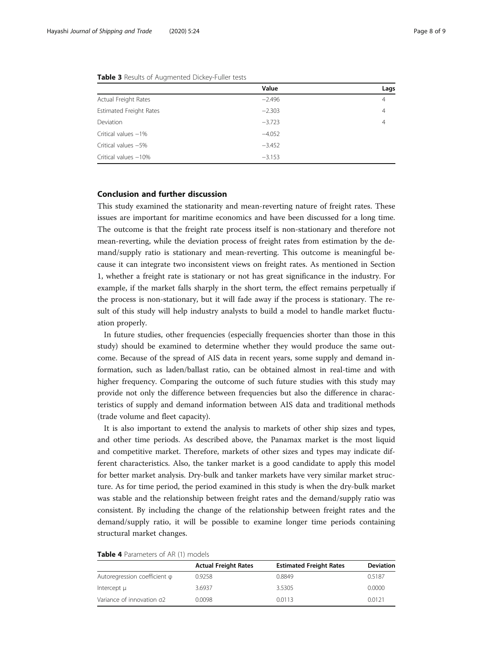| Value    | Lags           |
|----------|----------------|
| $-2.496$ | $\overline{4}$ |
| $-2.303$ | $\overline{4}$ |
| $-3.723$ | 4              |
| $-4.052$ |                |
| $-3.452$ |                |
| $-3.153$ |                |
|          |                |

<span id="page-7-0"></span>Table 3 Results of Augmented Dickey-Fuller tests

## Conclusion and further discussion

This study examined the stationarity and mean-reverting nature of freight rates. These issues are important for maritime economics and have been discussed for a long time. The outcome is that the freight rate process itself is non-stationary and therefore not mean-reverting, while the deviation process of freight rates from estimation by the demand/supply ratio is stationary and mean-reverting. This outcome is meaningful because it can integrate two inconsistent views on freight rates. As mentioned in Section 1, whether a freight rate is stationary or not has great significance in the industry. For example, if the market falls sharply in the short term, the effect remains perpetually if the process is non-stationary, but it will fade away if the process is stationary. The result of this study will help industry analysts to build a model to handle market fluctuation properly.

In future studies, other frequencies (especially frequencies shorter than those in this study) should be examined to determine whether they would produce the same outcome. Because of the spread of AIS data in recent years, some supply and demand information, such as laden/ballast ratio, can be obtained almost in real-time and with higher frequency. Comparing the outcome of such future studies with this study may provide not only the difference between frequencies but also the difference in characteristics of supply and demand information between AIS data and traditional methods (trade volume and fleet capacity).

It is also important to extend the analysis to markets of other ship sizes and types, and other time periods. As described above, the Panamax market is the most liquid and competitive market. Therefore, markets of other sizes and types may indicate different characteristics. Also, the tanker market is a good candidate to apply this model for better market analysis. Dry-bulk and tanker markets have very similar market structure. As for time period, the period examined in this study is when the dry-bulk market was stable and the relationship between freight rates and the demand/supply ratio was consistent. By including the change of the relationship between freight rates and the demand/supply ratio, it will be possible to examine longer time periods containing structural market changes.

| <b>Table 4</b> Parameters of AR (1) models |  |  |  |  |
|--------------------------------------------|--|--|--|--|
|--------------------------------------------|--|--|--|--|

|                              | <b>Actual Freight Rates</b> | <b>Estimated Freight Rates</b> | <b>Deviation</b> |
|------------------------------|-----------------------------|--------------------------------|------------------|
| Autoregression coefficient φ | 0.9258                      | 0.8849                         | 0.5187           |
| Intercept µ                  | 3.6937                      | 3.5305                         | 0.0000           |
| Variance of innovation o2    | 0.0098                      | 0.0113                         | 0.0121           |